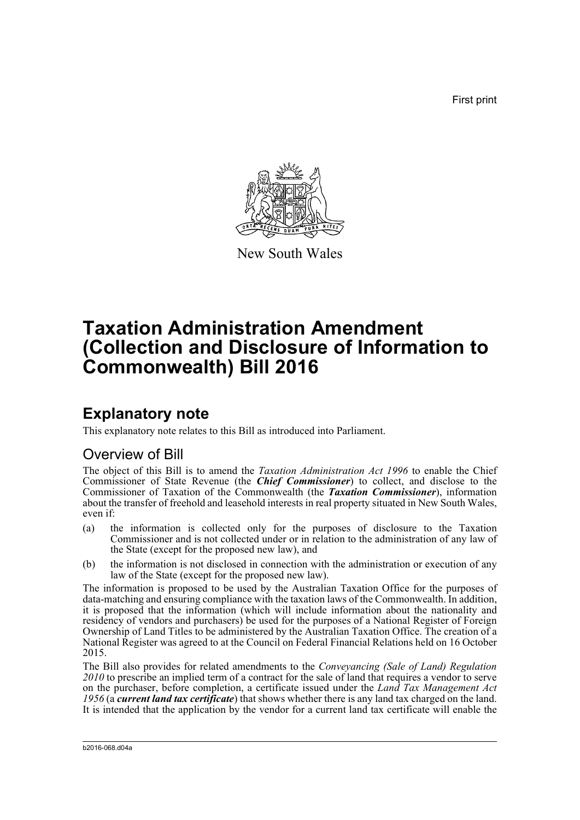First print



New South Wales

# **Taxation Administration Amendment (Collection and Disclosure of Information to Commonwealth) Bill 2016**

# **Explanatory note**

This explanatory note relates to this Bill as introduced into Parliament.

## Overview of Bill

The object of this Bill is to amend the *Taxation Administration Act 1996* to enable the Chief Commissioner of State Revenue (the *Chief Commissioner*) to collect, and disclose to the Commissioner of Taxation of the Commonwealth (the *Taxation Commissioner*), information about the transfer of freehold and leasehold interests in real property situated in New South Wales, even if:

- (a) the information is collected only for the purposes of disclosure to the Taxation Commissioner and is not collected under or in relation to the administration of any law of the State (except for the proposed new law), and
- (b) the information is not disclosed in connection with the administration or execution of any law of the State (except for the proposed new law).

The information is proposed to be used by the Australian Taxation Office for the purposes of data-matching and ensuring compliance with the taxation laws of the Commonwealth. In addition, it is proposed that the information (which will include information about the nationality and residency of vendors and purchasers) be used for the purposes of a National Register of Foreign Ownership of Land Titles to be administered by the Australian Taxation Office. The creation of a National Register was agreed to at the Council on Federal Financial Relations held on 16 October 2015.

The Bill also provides for related amendments to the *Conveyancing (Sale of Land) Regulation 2010* to prescribe an implied term of a contract for the sale of land that requires a vendor to serve on the purchaser, before completion, a certificate issued under the *Land Tax Management Act 1956* (a *current land tax certificate*) that shows whether there is any land tax charged on the land. It is intended that the application by the vendor for a current land tax certificate will enable the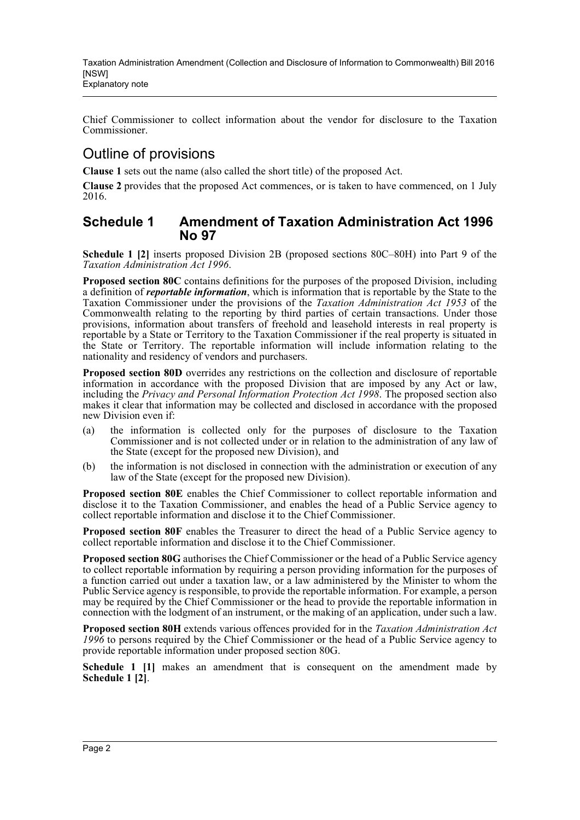Chief Commissioner to collect information about the vendor for disclosure to the Taxation Commissioner.

## Outline of provisions

**Clause 1** sets out the name (also called the short title) of the proposed Act.

**Clause 2** provides that the proposed Act commences, or is taken to have commenced, on 1 July 2016.

### **Schedule 1 Amendment of Taxation Administration Act 1996 No 97**

**Schedule 1 [2]** inserts proposed Division 2B (proposed sections 80C–80H) into Part 9 of the *Taxation Administration Act 1996*.

**Proposed section 80C** contains definitions for the purposes of the proposed Division, including a definition of *reportable information*, which is information that is reportable by the State to the Taxation Commissioner under the provisions of the *Taxation Administration Act 1953* of the Commonwealth relating to the reporting by third parties of certain transactions. Under those provisions, information about transfers of freehold and leasehold interests in real property is reportable by a State or Territory to the Taxation Commissioner if the real property is situated in the State or Territory. The reportable information will include information relating to the nationality and residency of vendors and purchasers.

**Proposed section 80D** overrides any restrictions on the collection and disclosure of reportable information in accordance with the proposed Division that are imposed by any Act or law, including the *Privacy and Personal Information Protection Act 1998*. The proposed section also makes it clear that information may be collected and disclosed in accordance with the proposed new Division even if:

- (a) the information is collected only for the purposes of disclosure to the Taxation Commissioner and is not collected under or in relation to the administration of any law of the State (except for the proposed new Division), and
- (b) the information is not disclosed in connection with the administration or execution of any law of the State (except for the proposed new Division).

**Proposed section 80E** enables the Chief Commissioner to collect reportable information and disclose it to the Taxation Commissioner, and enables the head of a Public Service agency to collect reportable information and disclose it to the Chief Commissioner.

**Proposed section 80F** enables the Treasurer to direct the head of a Public Service agency to collect reportable information and disclose it to the Chief Commissioner.

**Proposed section 80G** authorises the Chief Commissioner or the head of a Public Service agency to collect reportable information by requiring a person providing information for the purposes of a function carried out under a taxation law, or a law administered by the Minister to whom the Public Service agency is responsible, to provide the reportable information. For example, a person may be required by the Chief Commissioner or the head to provide the reportable information in connection with the lodgment of an instrument, or the making of an application, under such a law.

**Proposed section 80H** extends various offences provided for in the *Taxation Administration Act 1996* to persons required by the Chief Commissioner or the head of a Public Service agency to provide reportable information under proposed section 80G.

**Schedule 1 [1]** makes an amendment that is consequent on the amendment made by **Schedule 1 [2]**.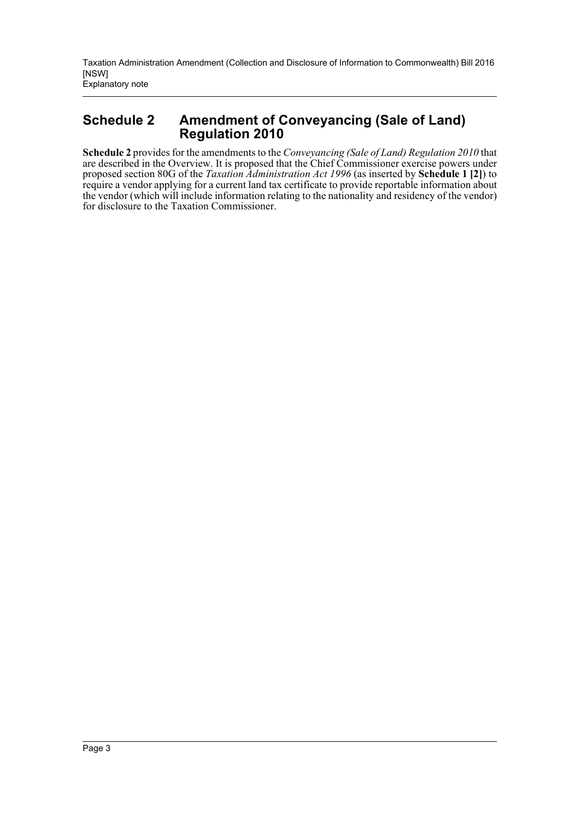## **Schedule 2 Amendment of Conveyancing (Sale of Land) Regulation 2010**

**Schedule 2** provides for the amendments to the *Conveyancing (Sale of Land) Regulation 2010* that are described in the Overview. It is proposed that the Chief Commissioner exercise powers under proposed section 80G of the *Taxation Administration Act 1996* (as inserted by **Schedule 1 [2]**) to require a vendor applying for a current land tax certificate to provide reportable information about the vendor (which will include information relating to the nationality and residency of the vendor) for disclosure to the Taxation Commissioner.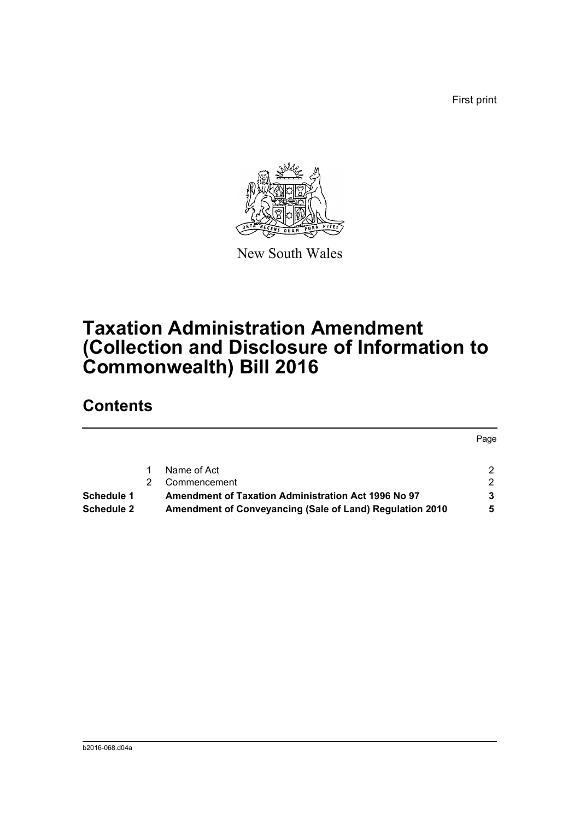First print



New South Wales

# **Taxation Administration Amendment (Collection and Disclosure of Information to Commonwealth) Bill 2016**

# **Contents**

|                   |                                                          | Page |
|-------------------|----------------------------------------------------------|------|
|                   | Name of Act                                              |      |
|                   | Commencement                                             | 2    |
| Schedule 1        | Amendment of Taxation Administration Act 1996 No 97      |      |
| <b>Schedule 2</b> | Amendment of Conveyancing (Sale of Land) Regulation 2010 |      |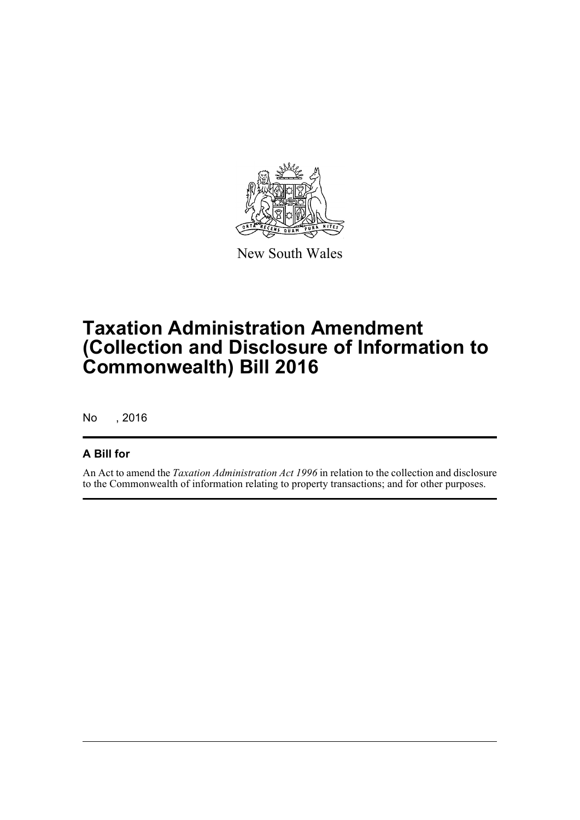

New South Wales

# **Taxation Administration Amendment (Collection and Disclosure of Information to Commonwealth) Bill 2016**

No , 2016

### **A Bill for**

An Act to amend the *Taxation Administration Act 1996* in relation to the collection and disclosure to the Commonwealth of information relating to property transactions; and for other purposes.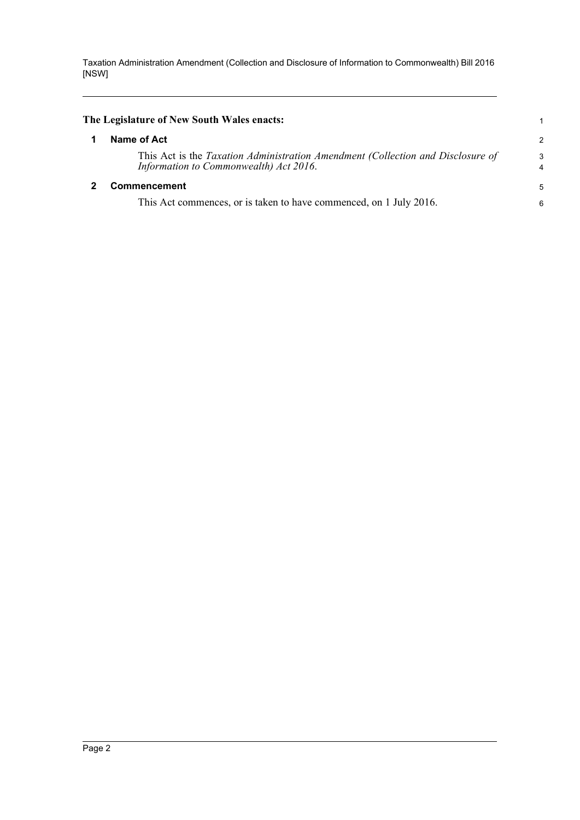<span id="page-5-1"></span><span id="page-5-0"></span>

| The Legislature of New South Wales enacts:                                                                                |                     |
|---------------------------------------------------------------------------------------------------------------------------|---------------------|
| Name of Act                                                                                                               | $\overline{c}$      |
| This Act is the Taxation Administration Amendment (Collection and Disclosure of<br>Information to Commonwealth) Act 2016. | 3<br>$\overline{4}$ |
| <b>Commencement</b>                                                                                                       |                     |
| This Act commences, or is taken to have commenced, on 1 July 2016.                                                        | 6                   |
|                                                                                                                           |                     |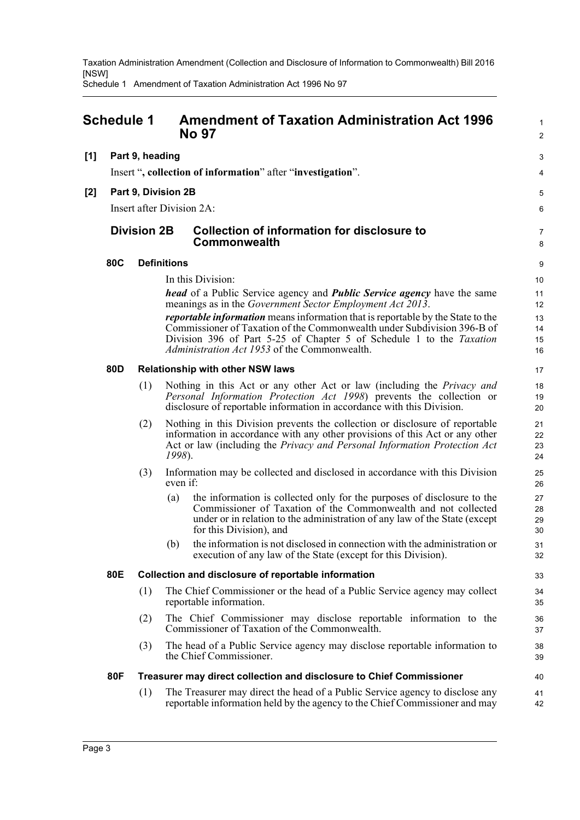Schedule 1 Amendment of Taxation Administration Act 1996 No 97

<span id="page-6-0"></span>

|       | <b>Schedule 1</b>                                           |                    |          | <b>Amendment of Taxation Administration Act 1996</b><br><b>No 97</b>                                                                                                                                                                                                                             |                      |  |  |  |
|-------|-------------------------------------------------------------|--------------------|----------|--------------------------------------------------------------------------------------------------------------------------------------------------------------------------------------------------------------------------------------------------------------------------------------------------|----------------------|--|--|--|
| [1]   | Part 9, heading                                             |                    |          |                                                                                                                                                                                                                                                                                                  |                      |  |  |  |
|       | Insert ", collection of information" after "investigation". |                    |          |                                                                                                                                                                                                                                                                                                  |                      |  |  |  |
| $[2]$ | Part 9, Division 2B                                         |                    |          |                                                                                                                                                                                                                                                                                                  |                      |  |  |  |
|       |                                                             |                    |          | Insert after Division 2A:                                                                                                                                                                                                                                                                        | 6                    |  |  |  |
|       |                                                             | <b>Division 2B</b> |          | <b>Collection of information for disclosure to</b><br><b>Commonwealth</b>                                                                                                                                                                                                                        | 7<br>8               |  |  |  |
|       | 80C                                                         | <b>Definitions</b> |          |                                                                                                                                                                                                                                                                                                  |                      |  |  |  |
|       |                                                             | In this Division:  |          |                                                                                                                                                                                                                                                                                                  |                      |  |  |  |
|       |                                                             |                    |          | <i>head</i> of a Public Service agency and <i>Public Service agency</i> have the same<br>meanings as in the Government Sector Employment Act 2013.                                                                                                                                               | 11<br>12             |  |  |  |
|       |                                                             |                    |          | <i>reportable information</i> means information that is reportable by the State to the<br>Commissioner of Taxation of the Commonwealth under Subdivision 396-B of<br>Division 396 of Part 5-25 of Chapter 5 of Schedule 1 to the Taxation<br><i>Administration Act 1953</i> of the Commonwealth. | 13<br>14<br>15<br>16 |  |  |  |
|       | 80D                                                         |                    |          | <b>Relationship with other NSW laws</b>                                                                                                                                                                                                                                                          | 17                   |  |  |  |
|       |                                                             | (1)                |          | Nothing in this Act or any other Act or law (including the <i>Privacy and</i><br>Personal Information Protection Act 1998) prevents the collection or<br>disclosure of reportable information in accordance with this Division.                                                                  | 18<br>19<br>20       |  |  |  |
|       |                                                             | (2)                | 1998).   | Nothing in this Division prevents the collection or disclosure of reportable<br>information in accordance with any other provisions of this Act or any other<br>Act or law (including the Privacy and Personal Information Protection Act                                                        | 21<br>22<br>23<br>24 |  |  |  |
|       |                                                             | (3)                | even if: | Information may be collected and disclosed in accordance with this Division                                                                                                                                                                                                                      | 25<br>26             |  |  |  |
|       |                                                             |                    | (a)      | the information is collected only for the purposes of disclosure to the<br>Commissioner of Taxation of the Commonwealth and not collected<br>under or in relation to the administration of any law of the State (except<br>for this Division), and                                               | 27<br>28<br>29<br>30 |  |  |  |
|       |                                                             |                    | (b)      | the information is not disclosed in connection with the administration or<br>execution of any law of the State (except for this Division).                                                                                                                                                       | 31<br>32             |  |  |  |
|       | 80E                                                         |                    |          | Collection and disclosure of reportable information                                                                                                                                                                                                                                              | 33                   |  |  |  |
|       |                                                             | (1)                |          | The Chief Commissioner or the head of a Public Service agency may collect<br>reportable information.                                                                                                                                                                                             | 34<br>35             |  |  |  |
|       |                                                             | (2)                |          | The Chief Commissioner may disclose reportable information to the<br>Commissioner of Taxation of the Commonwealth.                                                                                                                                                                               | 36<br>37             |  |  |  |
|       |                                                             | (3)                |          | The head of a Public Service agency may disclose reportable information to<br>the Chief Commissioner.                                                                                                                                                                                            | 38<br>39             |  |  |  |
|       | 80F                                                         |                    |          | Treasurer may direct collection and disclosure to Chief Commissioner                                                                                                                                                                                                                             | 40                   |  |  |  |
|       |                                                             | (1)                |          | The Treasurer may direct the head of a Public Service agency to disclose any<br>reportable information held by the agency to the Chief Commissioner and may                                                                                                                                      | 41<br>42             |  |  |  |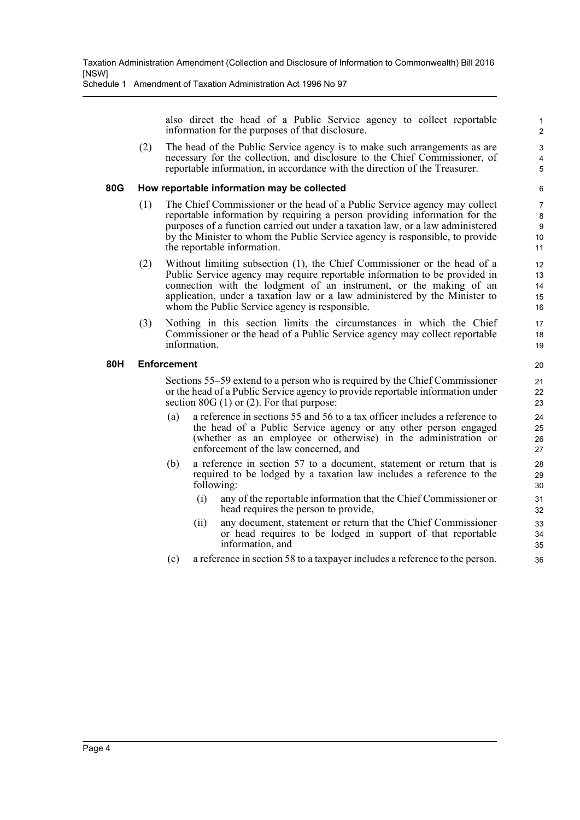Schedule 1 Amendment of Taxation Administration Act 1996 No 97

also direct the head of a Public Service agency to collect reportable information for the purposes of that disclosure.

(2) The head of the Public Service agency is to make such arrangements as are necessary for the collection, and disclosure to the Chief Commissioner, of reportable information, in accordance with the direction of the Treasurer.

#### **80G How reportable information may be collected**

- (1) The Chief Commissioner or the head of a Public Service agency may collect reportable information by requiring a person providing information for the purposes of a function carried out under a taxation law, or a law administered by the Minister to whom the Public Service agency is responsible, to provide the reportable information.
- (2) Without limiting subsection (1), the Chief Commissioner or the head of a Public Service agency may require reportable information to be provided in connection with the lodgment of an instrument, or the making of an application, under a taxation law or a law administered by the Minister to whom the Public Service agency is responsible.
- (3) Nothing in this section limits the circumstances in which the Chief Commissioner or the head of a Public Service agency may collect reportable information.

#### **80H Enforcement**

Sections 55–59 extend to a person who is required by the Chief Commissioner or the head of a Public Service agency to provide reportable information under section 80G (1) or (2). For that purpose:

- (a) a reference in sections 55 and 56 to a tax officer includes a reference to the head of a Public Service agency or any other person engaged (whether as an employee or otherwise) in the administration or enforcement of the law concerned, and
- (b) a reference in section 57 to a document, statement or return that is required to be lodged by a taxation law includes a reference to the following:
	- (i) any of the reportable information that the Chief Commissioner or head requires the person to provide,
	- (ii) any document, statement or return that the Chief Commissioner or head requires to be lodged in support of that reportable information, and
- (c) a reference in section 58 to a taxpayer includes a reference to the person.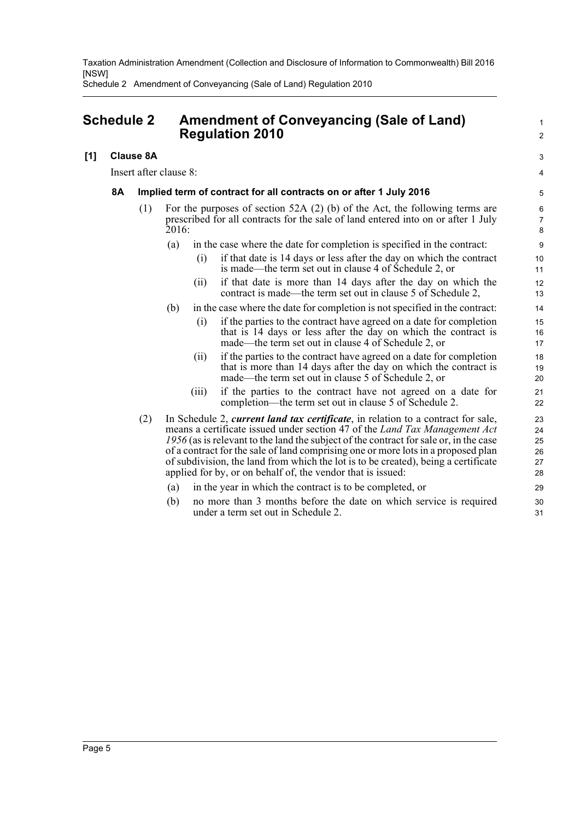Schedule 2 Amendment of Conveyancing (Sale of Land) Regulation 2010

## <span id="page-8-0"></span>**Schedule 2 Amendment of Conveyancing (Sale of Land) Regulation 2010**

### **[1] Clause 8A**

Insert after clause 8:

#### **8A Implied term of contract for all contracts on or after 1 July 2016**

- (1) For the purposes of section 52A (2) (b) of the Act, the following terms are prescribed for all contracts for the sale of land entered into on or after 1 July 2016:
	- (a) in the case where the date for completion is specified in the contract:
		- (i) if that date is 14 days or less after the day on which the contract is made—the term set out in clause 4 of Schedule 2, or

1  $\mathcal{L}$ 

3 4

- (ii) if that date is more than 14 days after the day on which the contract is made—the term set out in clause 5 of Schedule 2,
- (b) in the case where the date for completion is not specified in the contract:
	- (i) if the parties to the contract have agreed on a date for completion that is 14 days or less after the day on which the contract is made—the term set out in clause 4 of Schedule 2, or
	- (ii) if the parties to the contract have agreed on a date for completion that is more than 14 days after the day on which the contract is made—the term set out in clause 5 of Schedule 2, or
	- (iii) if the parties to the contract have not agreed on a date for completion—the term set out in clause 5 of Schedule 2.
- (2) In Schedule 2, *current land tax certificate*, in relation to a contract for sale, means a certificate issued under section 47 of the *Land Tax Management Act 1956* (as is relevant to the land the subject of the contract for sale or, in the case of a contract for the sale of land comprising one or more lots in a proposed plan of subdivision, the land from which the lot is to be created), being a certificate applied for by, or on behalf of, the vendor that is issued:
	- (a) in the year in which the contract is to be completed, or
	- (b) no more than 3 months before the date on which service is required under a term set out in Schedule 2.